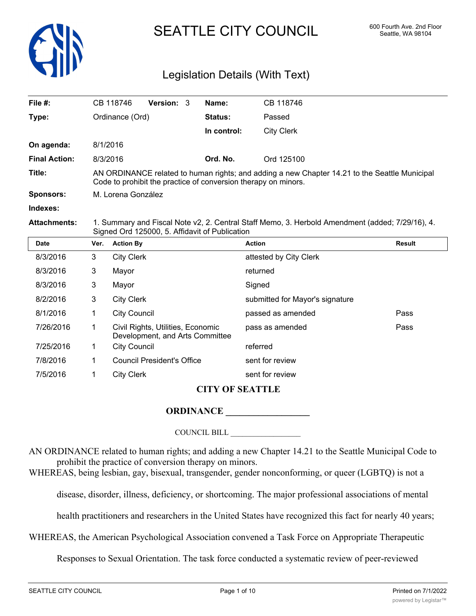

# SEATTLE CITY COUNCIL 600 Fourth Ave. 2nd Floor

## Legislation Details (With Text)

| File $#$ :           | CB 118746                                                                                                                                                       | <b>Version: 3</b> |          | Name:          | CB 118746  |  |
|----------------------|-----------------------------------------------------------------------------------------------------------------------------------------------------------------|-------------------|----------|----------------|------------|--|
| Type:                | Ordinance (Ord)                                                                                                                                                 |                   |          | <b>Status:</b> | Passed     |  |
|                      |                                                                                                                                                                 |                   |          | In control:    | City Clerk |  |
| On agenda:           | 8/1/2016                                                                                                                                                        |                   |          |                |            |  |
| <b>Final Action:</b> | 8/3/2016                                                                                                                                                        |                   | Ord. No. | Ord 125100     |            |  |
| Title:               | AN ORDINANCE related to human rights; and adding a new Chapter 14.21 to the Seattle Municipal<br>Code to prohibit the practice of conversion therapy on minors. |                   |          |                |            |  |
| <b>Sponsors:</b>     | M. Lorena González                                                                                                                                              |                   |          |                |            |  |
| Indexes:             |                                                                                                                                                                 |                   |          |                |            |  |
| Attachmonte:         | 1 Summary and Fiscal Note v2 2 Central Staff Memo 3 Herbold Amendment (added: 7/20/16) 4                                                                        |                   |          |                |            |  |

**Attachments:** 1. Summary and Fiscal Note v2, 2. Central Staff Memo, 3. Herbold Amendment (added; 7/29/16), 4. Signed Ord 125000, 5. Affidavit of Publication

| <b>Date</b> | Ver. | <b>Action By</b>                                                     | <b>Action</b>                   | <b>Result</b> |
|-------------|------|----------------------------------------------------------------------|---------------------------------|---------------|
| 8/3/2016    | 3    | <b>City Clerk</b>                                                    | attested by City Clerk          |               |
| 8/3/2016    | 3    | Mayor                                                                | returned                        |               |
| 8/3/2016    | 3    | Mayor                                                                | Signed                          |               |
| 8/2/2016    | 3    | <b>City Clerk</b>                                                    | submitted for Mayor's signature |               |
| 8/1/2016    |      | <b>City Council</b>                                                  | passed as amended               | Pass          |
| 7/26/2016   |      | Civil Rights, Utilities, Economic<br>Development, and Arts Committee | pass as amended                 | Pass          |
| 7/25/2016   |      | <b>City Council</b>                                                  | referred                        |               |
| 7/8/2016    |      | <b>Council President's Office</b>                                    | sent for review                 |               |
| 7/5/2016    |      | <b>City Clerk</b>                                                    | sent for review                 |               |

## **CITY OF SEATTLE**

#### **ORDINANCE**

#### COUNCIL BILL \_\_\_\_\_\_\_\_\_\_\_\_\_\_\_\_\_\_

AN ORDINANCE related to human rights; and adding a new Chapter 14.21 to the Seattle Municipal Code to prohibit the practice of conversion therapy on minors.

WHEREAS, being lesbian, gay, bisexual, transgender, gender nonconforming, or queer (LGBTQ) is not a

disease, disorder, illness, deficiency, or shortcoming. The major professional associations of mental

health practitioners and researchers in the United States have recognized this fact for nearly 40 years;

WHEREAS, the American Psychological Association convened a Task Force on Appropriate Therapeutic

Responses to Sexual Orientation. The task force conducted a systematic review of peer-reviewed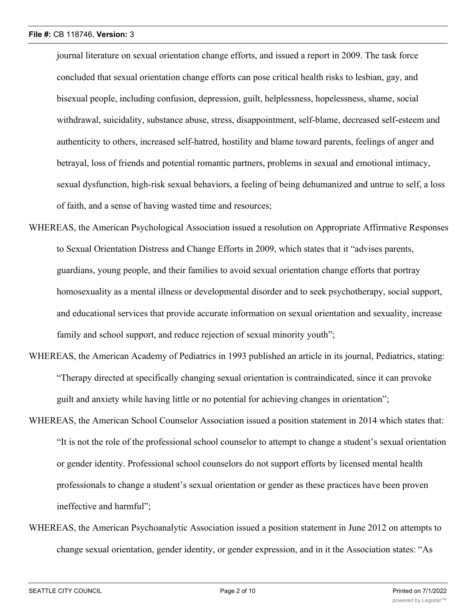journal literature on sexual orientation change efforts, and issued a report in 2009. The task force concluded that sexual orientation change efforts can pose critical health risks to lesbian, gay, and bisexual people, including confusion, depression, guilt, helplessness, hopelessness, shame, social withdrawal, suicidality, substance abuse, stress, disappointment, self-blame, decreased self-esteem and authenticity to others, increased self-hatred, hostility and blame toward parents, feelings of anger and betrayal, loss of friends and potential romantic partners, problems in sexual and emotional intimacy, sexual dysfunction, high-risk sexual behaviors, a feeling of being dehumanized and untrue to self, a loss of faith, and a sense of having wasted time and resources;

- WHEREAS, the American Psychological Association issued a resolution on Appropriate Affirmative Responses to Sexual Orientation Distress and Change Efforts in 2009, which states that it "advises parents, guardians, young people, and their families to avoid sexual orientation change efforts that portray homosexuality as a mental illness or developmental disorder and to seek psychotherapy, social support, and educational services that provide accurate information on sexual orientation and sexuality, increase family and school support, and reduce rejection of sexual minority youth";
- WHEREAS, the American Academy of Pediatrics in 1993 published an article in its journal, Pediatrics, stating: "Therapy directed at specifically changing sexual orientation is contraindicated, since it can provoke guilt and anxiety while having little or no potential for achieving changes in orientation";
- WHEREAS, the American School Counselor Association issued a position statement in 2014 which states that: "It is not the role of the professional school counselor to attempt to change a student's sexual orientation or gender identity. Professional school counselors do not support efforts by licensed mental health professionals to change a student's sexual orientation or gender as these practices have been proven ineffective and harmful";
- WHEREAS, the American Psychoanalytic Association issued a position statement in June 2012 on attempts to change sexual orientation, gender identity, or gender expression, and in it the Association states: "As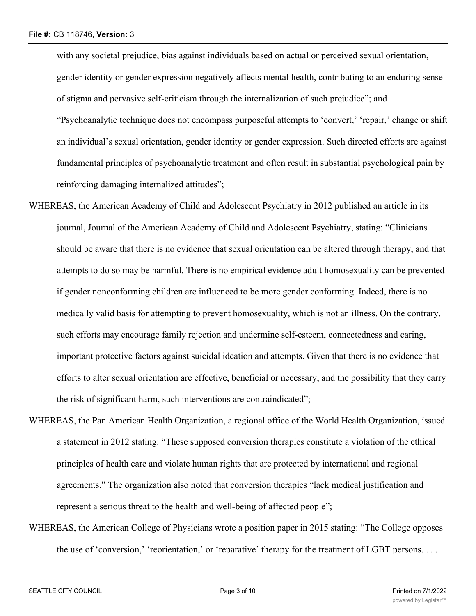with any societal prejudice, bias against individuals based on actual or perceived sexual orientation, gender identity or gender expression negatively affects mental health, contributing to an enduring sense of stigma and pervasive self-criticism through the internalization of such prejudice"; and "Psychoanalytic technique does not encompass purposeful attempts to 'convert,' 'repair,' change or shift an individual's sexual orientation, gender identity or gender expression. Such directed efforts are against fundamental principles of psychoanalytic treatment and often result in substantial psychological pain by reinforcing damaging internalized attitudes";

- WHEREAS, the American Academy of Child and Adolescent Psychiatry in 2012 published an article in its journal, Journal of the American Academy of Child and Adolescent Psychiatry, stating: "Clinicians should be aware that there is no evidence that sexual orientation can be altered through therapy, and that attempts to do so may be harmful. There is no empirical evidence adult homosexuality can be prevented if gender nonconforming children are influenced to be more gender conforming. Indeed, there is no medically valid basis for attempting to prevent homosexuality, which is not an illness. On the contrary, such efforts may encourage family rejection and undermine self-esteem, connectedness and caring, important protective factors against suicidal ideation and attempts. Given that there is no evidence that efforts to alter sexual orientation are effective, beneficial or necessary, and the possibility that they carry the risk of significant harm, such interventions are contraindicated";
- WHEREAS, the Pan American Health Organization, a regional office of the World Health Organization, issued a statement in 2012 stating: "These supposed conversion therapies constitute a violation of the ethical principles of health care and violate human rights that are protected by international and regional agreements." The organization also noted that conversion therapies "lack medical justification and represent a serious threat to the health and well-being of affected people";
- WHEREAS, the American College of Physicians wrote a position paper in 2015 stating: "The College opposes the use of 'conversion,' 'reorientation,' or 'reparative' therapy for the treatment of LGBT persons. . . .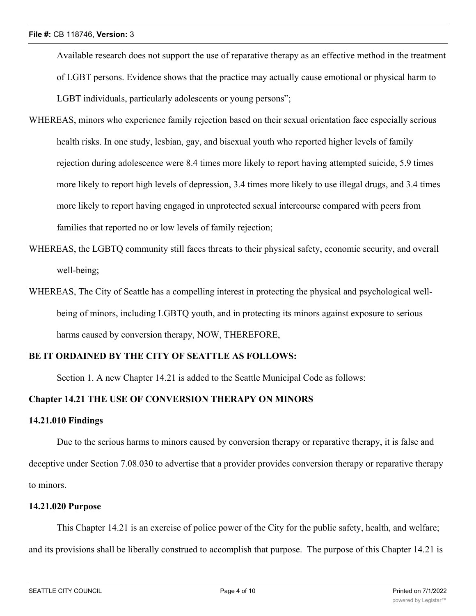Available research does not support the use of reparative therapy as an effective method in the treatment of LGBT persons. Evidence shows that the practice may actually cause emotional or physical harm to LGBT individuals, particularly adolescents or young persons";

- WHEREAS, minors who experience family rejection based on their sexual orientation face especially serious health risks. In one study, lesbian, gay, and bisexual youth who reported higher levels of family rejection during adolescence were 8.4 times more likely to report having attempted suicide, 5.9 times more likely to report high levels of depression, 3.4 times more likely to use illegal drugs, and 3.4 times more likely to report having engaged in unprotected sexual intercourse compared with peers from families that reported no or low levels of family rejection;
- WHEREAS, the LGBTQ community still faces threats to their physical safety, economic security, and overall well-being;
- WHEREAS, The City of Seattle has a compelling interest in protecting the physical and psychological wellbeing of minors, including LGBTQ youth, and in protecting its minors against exposure to serious harms caused by conversion therapy, NOW, THEREFORE,

#### **BE IT ORDAINED BY THE CITY OF SEATTLE AS FOLLOWS:**

Section 1. A new Chapter 14.21 is added to the Seattle Municipal Code as follows:

#### **Chapter 14.21 THE USE OF CONVERSION THERAPY ON MINORS**

#### **14.21.010 Findings**

Due to the serious harms to minors caused by conversion therapy or reparative therapy, it is false and deceptive under Section 7.08.030 to advertise that a provider provides conversion therapy or reparative therapy to minors.

### **14.21.020 Purpose**

This Chapter 14.21 is an exercise of police power of the City for the public safety, health, and welfare; and its provisions shall be liberally construed to accomplish that purpose. The purpose of this Chapter 14.21 is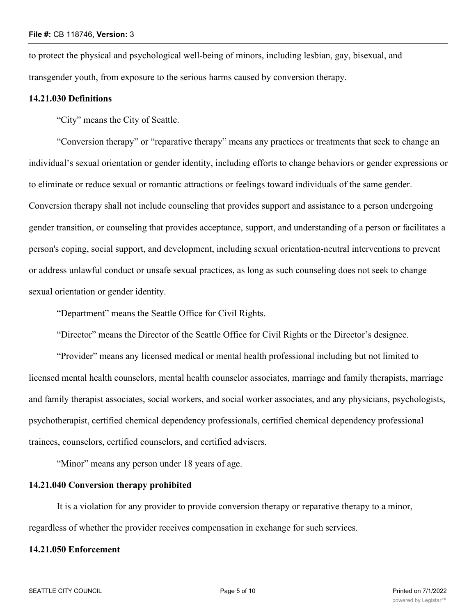to protect the physical and psychological well-being of minors, including lesbian, gay, bisexual, and transgender youth, from exposure to the serious harms caused by conversion therapy.

#### **14.21.030 Definitions**

"City" means the City of Seattle.

"Conversion therapy" or "reparative therapy" means any practices or treatments that seek to change an individual's sexual orientation or gender identity, including efforts to change behaviors or gender expressions or to eliminate or reduce sexual or romantic attractions or feelings toward individuals of the same gender. Conversion therapy shall not include counseling that provides support and assistance to a person undergoing gender transition, or counseling that provides acceptance, support, and understanding of a person or facilitates a person's coping, social support, and development, including sexual orientation-neutral interventions to prevent or address unlawful conduct or unsafe sexual practices, as long as such counseling does not seek to change sexual orientation or gender identity.

"Department" means the Seattle Office for Civil Rights.

"Director" means the Director of the Seattle Office for Civil Rights or the Director's designee.

"Provider" means any licensed medical or mental health professional including but not limited to licensed mental health counselors, mental health counselor associates, marriage and family therapists, marriage and family therapist associates, social workers, and social worker associates, and any physicians, psychologists, psychotherapist, certified chemical dependency professionals, certified chemical dependency professional trainees, counselors, certified counselors, and certified advisers.

"Minor" means any person under 18 years of age.

#### **14.21.040 Conversion therapy prohibited**

It is a violation for any provider to provide conversion therapy or reparative therapy to a minor, regardless of whether the provider receives compensation in exchange for such services.

#### **14.21.050 Enforcement**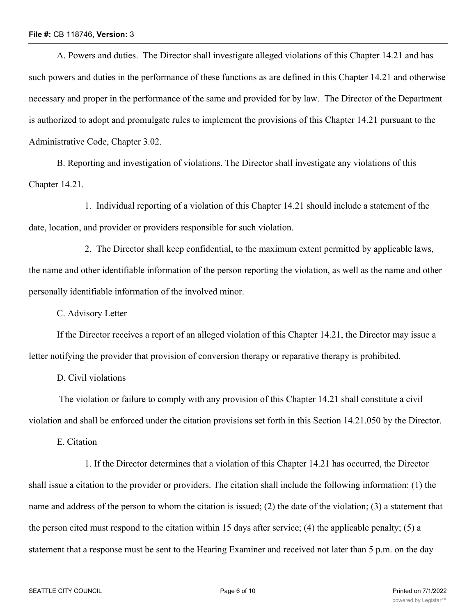#### **File #:** CB 118746, **Version:** 3

A. Powers and duties. The Director shall investigate alleged violations of this Chapter 14.21 and has such powers and duties in the performance of these functions as are defined in this Chapter 14.21 and otherwise necessary and proper in the performance of the same and provided for by law. The Director of the Department is authorized to adopt and promulgate rules to implement the provisions of this Chapter 14.21 pursuant to the Administrative Code, Chapter 3.02.

B. Reporting and investigation of violations. The Director shall investigate any violations of this Chapter 14.21.

1. Individual reporting of a violation of this Chapter 14.21 should include a statement of the date, location, and provider or providers responsible for such violation.

2. The Director shall keep confidential, to the maximum extent permitted by applicable laws, the name and other identifiable information of the person reporting the violation, as well as the name and other personally identifiable information of the involved minor.

C. Advisory Letter

If the Director receives a report of an alleged violation of this Chapter 14.21, the Director may issue a letter notifying the provider that provision of conversion therapy or reparative therapy is prohibited.

D. Civil violations

 The violation or failure to comply with any provision of this Chapter 14.21 shall constitute a civil violation and shall be enforced under the citation provisions set forth in this Section 14.21.050 by the Director.

E. Citation

1. If the Director determines that a violation of this Chapter 14.21 has occurred, the Director shall issue a citation to the provider or providers. The citation shall include the following information: (1) the name and address of the person to whom the citation is issued; (2) the date of the violation; (3) a statement that the person cited must respond to the citation within 15 days after service; (4) the applicable penalty; (5) a statement that a response must be sent to the Hearing Examiner and received not later than 5 p.m. on the day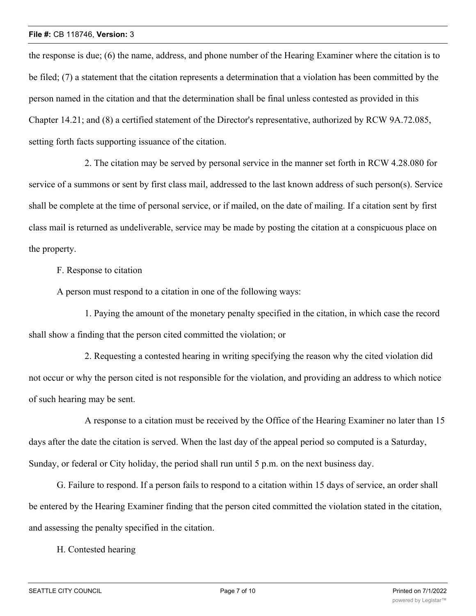#### **File #:** CB 118746, **Version:** 3

the response is due; (6) the name, address, and phone number of the Hearing Examiner where the citation is to be filed; (7) a statement that the citation represents a determination that a violation has been committed by the person named in the citation and that the determination shall be final unless contested as provided in this Chapter 14.21; and (8) a certified statement of the Director's representative, authorized by RCW 9A.72.085, setting forth facts supporting issuance of the citation.

2. The citation may be served by personal service in the manner set forth in RCW 4.28.080 for service of a summons or sent by first class mail, addressed to the last known address of such person(s). Service shall be complete at the time of personal service, or if mailed, on the date of mailing. If a citation sent by first class mail is returned as undeliverable, service may be made by posting the citation at a conspicuous place on the property.

F. Response to citation

A person must respond to a citation in one of the following ways:

1. Paying the amount of the monetary penalty specified in the citation, in which case the record shall show a finding that the person cited committed the violation; or

2. Requesting a contested hearing in writing specifying the reason why the cited violation did not occur or why the person cited is not responsible for the violation, and providing an address to which notice of such hearing may be sent.

A response to a citation must be received by the Office of the Hearing Examiner no later than 15 days after the date the citation is served. When the last day of the appeal period so computed is a Saturday, Sunday, or federal or City holiday, the period shall run until 5 p.m. on the next business day.

G. Failure to respond. If a person fails to respond to a citation within 15 days of service, an order shall be entered by the Hearing Examiner finding that the person cited committed the violation stated in the citation, and assessing the penalty specified in the citation.

H. Contested hearing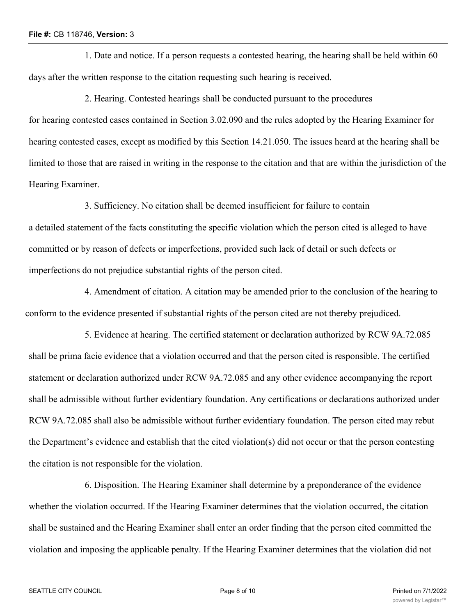1. Date and notice. If a person requests a contested hearing, the hearing shall be held within 60 days after the written response to the citation requesting such hearing is received.

2. Hearing. Contested hearings shall be conducted pursuant to the procedures for hearing contested cases contained in Section 3.02.090 and the rules adopted by the Hearing Examiner for hearing contested cases, except as modified by this Section 14.21.050. The issues heard at the hearing shall be limited to those that are raised in writing in the response to the citation and that are within the jurisdiction of the Hearing Examiner.

3. Sufficiency. No citation shall be deemed insufficient for failure to contain a detailed statement of the facts constituting the specific violation which the person cited is alleged to have committed or by reason of defects or imperfections, provided such lack of detail or such defects or imperfections do not prejudice substantial rights of the person cited.

4. Amendment of citation. A citation may be amended prior to the conclusion of the hearing to conform to the evidence presented if substantial rights of the person cited are not thereby prejudiced.

5. Evidence at hearing. The certified statement or declaration authorized by RCW 9A.72.085 shall be prima facie evidence that a violation occurred and that the person cited is responsible. The certified statement or declaration authorized under RCW 9A.72.085 and any other evidence accompanying the report shall be admissible without further evidentiary foundation. Any certifications or declarations authorized under RCW 9A.72.085 shall also be admissible without further evidentiary foundation. The person cited may rebut the Department's evidence and establish that the cited violation(s) did not occur or that the person contesting the citation is not responsible for the violation.

6. Disposition. The Hearing Examiner shall determine by a preponderance of the evidence whether the violation occurred. If the Hearing Examiner determines that the violation occurred, the citation shall be sustained and the Hearing Examiner shall enter an order finding that the person cited committed the violation and imposing the applicable penalty. If the Hearing Examiner determines that the violation did not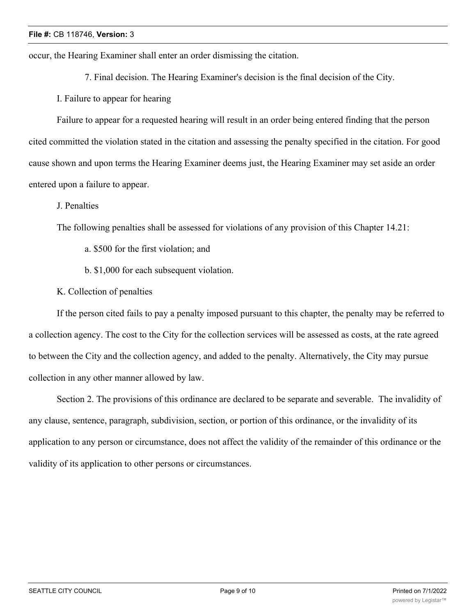occur, the Hearing Examiner shall enter an order dismissing the citation.

7. Final decision. The Hearing Examiner's decision is the final decision of the City.

I. Failure to appear for hearing

Failure to appear for a requested hearing will result in an order being entered finding that the person cited committed the violation stated in the citation and assessing the penalty specified in the citation. For good cause shown and upon terms the Hearing Examiner deems just, the Hearing Examiner may set aside an order entered upon a failure to appear.

J. Penalties

The following penalties shall be assessed for violations of any provision of this Chapter 14.21:

- a. \$500 for the first violation; and
- b. \$1,000 for each subsequent violation.

K. Collection of penalties

If the person cited fails to pay a penalty imposed pursuant to this chapter, the penalty may be referred to a collection agency. The cost to the City for the collection services will be assessed as costs, at the rate agreed to between the City and the collection agency, and added to the penalty. Alternatively, the City may pursue collection in any other manner allowed by law.

Section 2. The provisions of this ordinance are declared to be separate and severable. The invalidity of any clause, sentence, paragraph, subdivision, section, or portion of this ordinance, or the invalidity of its application to any person or circumstance, does not affect the validity of the remainder of this ordinance or the validity of its application to other persons or circumstances.